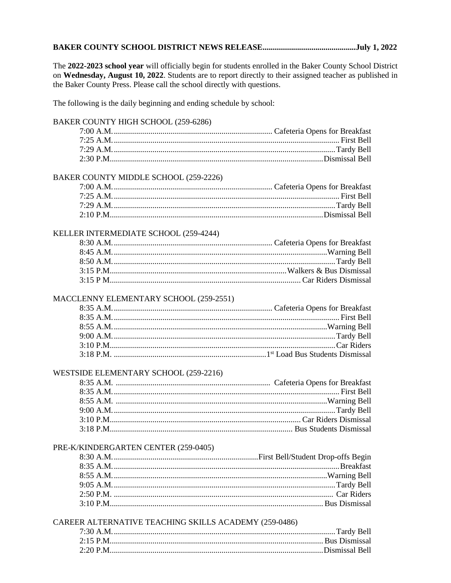# 

The 2022-2023 school year will officially begin for students enrolled in the Baker County School District on Wednesday, August 10, 2022. Students are to report directly to their assigned teacher as published in the Baker County Press. Please call the school directly with questions.

The following is the daily beginning and ending schedule by school:

# BAKER COUNTY HIGH SCHOOL (259-6286)

## BAKER COUNTY MIDDLE SCHOOL (259-2226)

## KELLER INTERMEDIATE SCHOOL (259-4244)

#### MACCLENNY ELEMENTARY SCHOOL (259-2551)

#### WESTSIDE ELEMENTARY SCHOOL (259-2216)

## PRE-K/KINDERGARTEN CENTER (259-0405)

# CAREER ALTERNATIVE TEACHING SKILLS ACADEMY (259-0486)